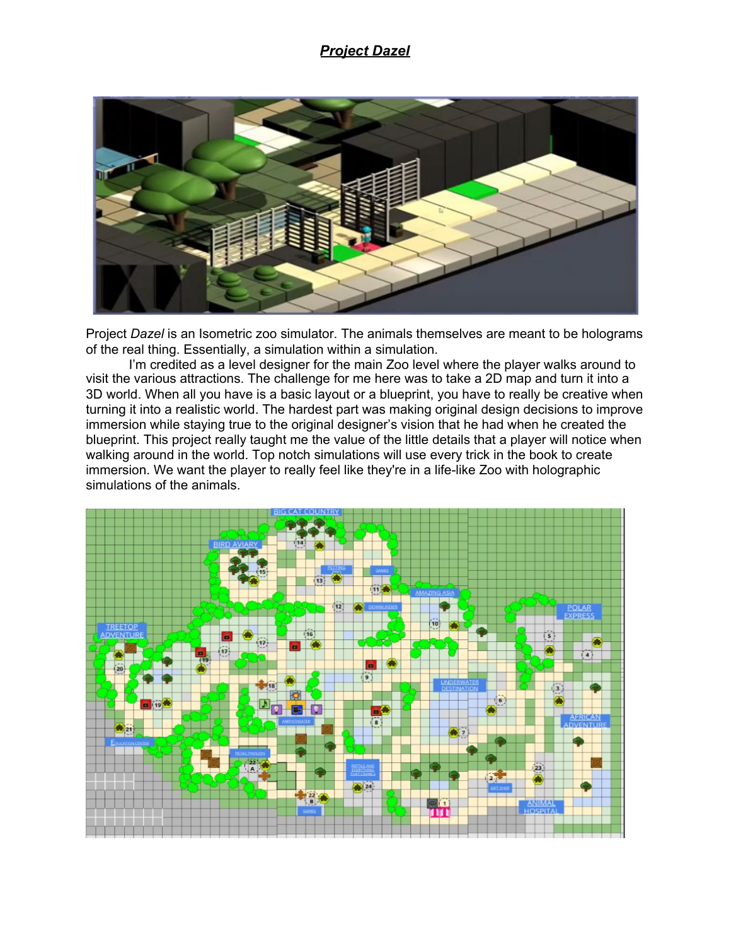## *Project Dazel*



Project *Dazel* is an Isometric zoo simulator. The animals themselves are meant to be holograms of the real thing. Essentially, a simulation within a simulation.

I'm credited as a level designer for the main Zoo level where the player walks around to visit the various attractions. The challenge for me here was to take a 2D map and turn it into a 3D world. When all you have is a basic layout or a blueprint, you have to really be creative when turning it into a realistic world. The hardest part was making original design decisions to improve immersion while staying true to the original designer's vision that he had when he created the blueprint. This project really taught me the value of the little details that a player will notice when walking around in the world. Top notch simulations will use every trick in the book to create immersion. We want the player to really feel like they're in a life-like Zoo with holographic simulations of the animals.